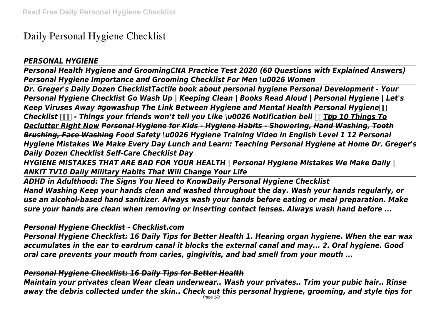# **Daily Personal Hygiene Checklist**

# *PERSONAL HYGIENE*

*Personal Health Hygiene and GroomingCNA Practice Test 2020 (60 Questions with Explained Answers) Personal Hygiene Importance and Grooming Checklist For Men \u0026 Women*

*Dr. Greger's Daily Dozen ChecklistTactile book about personal hygiene Personal Development - Your Personal Hygiene Checklist Go Wash Up | Keeping Clean | Books Read Aloud | Personal Hygiene | Let's Keep Viruses Away #gowashup The Link Between Hygiene and Mental Health Personal Hygiene Checklist*  $\Box$  - Things your friends won't tell you Like \u0026 Notification bell  $\Box$ Top 10 Things To *Declutter Right Now Personal Hygiene for Kids - Hygiene Habits - Showering, Hand Washing, Tooth Brushing, Face Washing Food Safety \u0026 Hygiene Training Video in English Level 1 12 Personal Hygiene Mistakes We Make Every Day Lunch and Learn: Teaching Personal Hygiene at Home Dr. Greger's Daily Dozen Checklist Self-Care Checklist Day*

*HYGIENE MISTAKES THAT ARE BAD FOR YOUR HEALTH | Personal Hygiene Mistakes We Make Daily | ANKIT TV10 Daily Military Habits That Will Change Your Life*

*ADHD in Adulthood: The Signs You Need to KnowDaily Personal Hygiene Checklist Hand Washing Keep your hands clean and washed throughout the day. Wash your hands regularly, or use an alcohol-based hand sanitizer. Always wash your hands before eating or meal preparation. Make sure your hands are clean when removing or inserting contact lenses. Always wash hand before ...*

# *Personal Hygiene Checklist - Checklist.com*

*Personal Hygiene Checklist: 16 Daily Tips for Better Health 1. Hearing organ hygiene. When the ear wax accumulates in the ear to eardrum canal it blocks the external canal and may... 2. Oral hygiene. Good oral care prevents your mouth from caries, gingivitis, and bad smell from your mouth ...*

# *Personal Hygiene Checklist: 16 Daily Tips for Better Health*

*Maintain your privates clean Wear clean underwear.. Wash your privates.. Trim your pubic hair.. Rinse away the debris collected under the skin.. Check out this personal hygiene, grooming, and style tips for*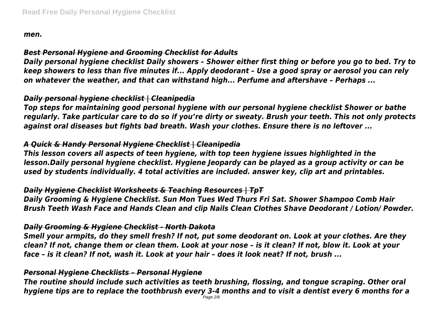*men.*

# *Best Personal Hygiene and Grooming Checklist for Adults*

*Daily personal hygiene checklist Daily showers – Shower either first thing or before you go to bed. Try to keep showers to less than five minutes if... Apply deodorant – Use a good spray or aerosol you can rely on whatever the weather, and that can withstand high... Perfume and aftershave – Perhaps ...*

# *Daily personal hygiene checklist | Cleanipedia*

*Top steps for maintaining good personal hygiene with our personal hygiene checklist Shower or bathe regularly. Take particular care to do so if you're dirty or sweaty. Brush your teeth. This not only protects against oral diseases but fights bad breath. Wash your clothes. Ensure there is no leftover ...*

# *A Quick & Handy Personal Hygiene Checklist | Cleanipedia*

*This lesson covers all aspects of teen hygiene, with top teen hygiene issues highlighted in the lesson.Daily personal hygiene checklist. Hygiene Jeopardy can be played as a group activity or can be used by students individually. 4 total activities are included. answer key, clip art and printables.*

# *Daily Hygiene Checklist Worksheets & Teaching Resources | TpT*

*Daily Grooming & Hygiene Checklist. Sun Mon Tues Wed Thurs Fri Sat. Shower Shampoo Comb Hair Brush Teeth Wash Face and Hands Clean and clip Nails Clean Clothes Shave Deodorant / Lotion/ Powder.*

# *Daily Grooming & Hygiene Checklist - North Dakota*

*Smell your armpits, do they smell fresh? If not, put some deodorant on. Look at your clothes. Are they clean? If not, change them or clean them. Look at your nose – is it clean? If not, blow it. Look at your face – is it clean? If not, wash it. Look at your hair – does it look neat? If not, brush ...*

# *Personal Hygiene Checklists – Personal Hygiene*

*The routine should include such activities as teeth brushing, flossing, and tongue scraping. Other oral hygiene tips are to replace the toothbrush every 3-4 months and to visit a dentist every 6 months for a*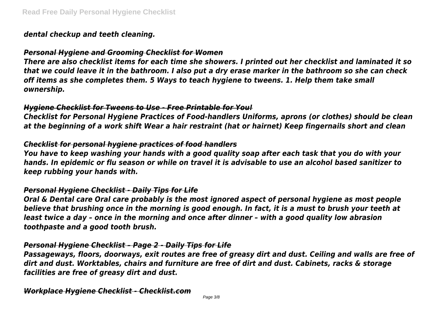#### *dental checkup and teeth cleaning.*

#### *Personal Hygiene and Grooming Checklist for Women*

*There are also checklist items for each time she showers. I printed out her checklist and laminated it so that we could leave it in the bathroom. I also put a dry erase marker in the bathroom so she can check off items as she completes them. 5 Ways to teach hygiene to tweens. 1. Help them take small ownership.*

#### *Hygiene Checklist for Tweens to Use - Free Printable for You!*

*Checklist for Personal Hygiene Practices of Food-handlers Uniforms, aprons (or clothes) should be clean at the beginning of a work shift Wear a hair restraint (hat or hairnet) Keep fingernails short and clean*

### *Checklist for personal hygiene practices of food handlers*

*You have to keep washing your hands with a good quality soap after each task that you do with your hands. In epidemic or flu season or while on travel it is advisable to use an alcohol based sanitizer to keep rubbing your hands with.*

### *Personal Hygiene Checklist - Daily Tips for Life*

*Oral & Dental care Oral care probably is the most ignored aspect of personal hygiene as most people believe that brushing once in the morning is good enough. In fact, it is a must to brush your teeth at least twice a day – once in the morning and once after dinner – with a good quality low abrasion toothpaste and a good tooth brush.*

#### *Personal Hygiene Checklist – Page 2 - Daily Tips for Life*

*Passageways, floors, doorways, exit routes are free of greasy dirt and dust. Ceiling and walls are free of dirt and dust. Worktables, chairs and furniture are free of dirt and dust. Cabinets, racks & storage facilities are free of greasy dirt and dust.*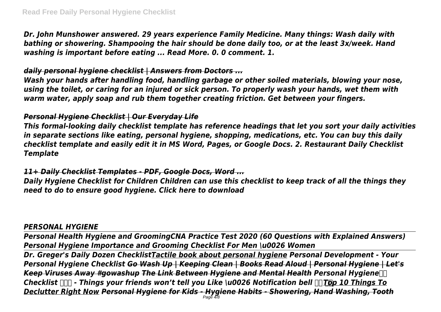*Dr. John Munshower answered. 29 years experience Family Medicine. Many things: Wash daily with bathing or showering. Shampooing the hair should be done daily too, or at the least 3x/week. Hand washing is important before eating ... Read More. 0. 0 comment. 1.*

## *daily personal hygiene checklist | Answers from Doctors ...*

*Wash your hands after handling food, handling garbage or other soiled materials, blowing your nose, using the toilet, or caring for an injured or sick person. To properly wash your hands, wet them with warm water, apply soap and rub them together creating friction. Get between your fingers.*

# *Personal Hygiene Checklist | Our Everyday Life*

*This formal-looking daily checklist template has reference headings that let you sort your daily activities in separate sections like eating, personal hygiene, shopping, medications, etc. You can buy this daily checklist template and easily edit it in MS Word, Pages, or Google Docs. 2. Restaurant Daily Checklist Template*

# *11+ Daily Checklist Templates - PDF, Google Docs, Word ...*

*Daily Hygiene Checklist for Children Children can use this checklist to keep track of all the things they need to do to ensure good hygiene. Click here to download*

#### *PERSONAL HYGIENE*

*Personal Health Hygiene and GroomingCNA Practice Test 2020 (60 Questions with Explained Answers) Personal Hygiene Importance and Grooming Checklist For Men \u0026 Women*

*Dr. Greger's Daily Dozen ChecklistTactile book about personal hygiene Personal Development - Your Personal Hygiene Checklist Go Wash Up | Keeping Clean | Books Read Aloud | Personal Hygiene | Let's Keep Viruses Away #gowashup The Link Between Hygiene and Mental Health Personal Hygiene Checklist ✅ - Things your friends won't tell you Like \u0026 Notification bell Top 10 Things To Declutter Right Now Personal Hygiene for Kids - Hygiene Habits - Showering, Hand Washing, Tooth* Page 4/8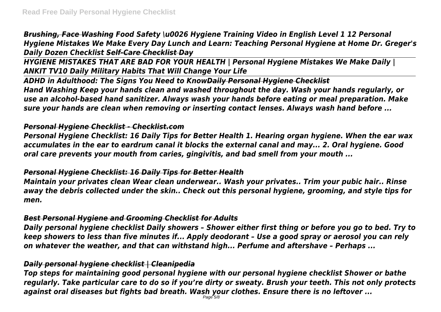*Brushing, Face Washing Food Safety \u0026 Hygiene Training Video in English Level 1 12 Personal Hygiene Mistakes We Make Every Day Lunch and Learn: Teaching Personal Hygiene at Home Dr. Greger's Daily Dozen Checklist Self-Care Checklist Day*

*HYGIENE MISTAKES THAT ARE BAD FOR YOUR HEALTH | Personal Hygiene Mistakes We Make Daily | ANKIT TV10 Daily Military Habits That Will Change Your Life*

*ADHD in Adulthood: The Signs You Need to KnowDaily Personal Hygiene Checklist Hand Washing Keep your hands clean and washed throughout the day. Wash your hands regularly, or use an alcohol-based hand sanitizer. Always wash your hands before eating or meal preparation. Make sure your hands are clean when removing or inserting contact lenses. Always wash hand before ...*

### *Personal Hygiene Checklist - Checklist.com*

*Personal Hygiene Checklist: 16 Daily Tips for Better Health 1. Hearing organ hygiene. When the ear wax accumulates in the ear to eardrum canal it blocks the external canal and may... 2. Oral hygiene. Good oral care prevents your mouth from caries, gingivitis, and bad smell from your mouth ...*

# *Personal Hygiene Checklist: 16 Daily Tips for Better Health*

*Maintain your privates clean Wear clean underwear.. Wash your privates.. Trim your pubic hair.. Rinse away the debris collected under the skin.. Check out this personal hygiene, grooming, and style tips for men.*

# *Best Personal Hygiene and Grooming Checklist for Adults*

*Daily personal hygiene checklist Daily showers – Shower either first thing or before you go to bed. Try to keep showers to less than five minutes if... Apply deodorant – Use a good spray or aerosol you can rely on whatever the weather, and that can withstand high... Perfume and aftershave – Perhaps ...*

# *Daily personal hygiene checklist | Cleanipedia*

*Top steps for maintaining good personal hygiene with our personal hygiene checklist Shower or bathe regularly. Take particular care to do so if you're dirty or sweaty. Brush your teeth. This not only protects against oral diseases but fights bad breath. Wash your clothes. Ensure there is no leftover ...* Page 5/8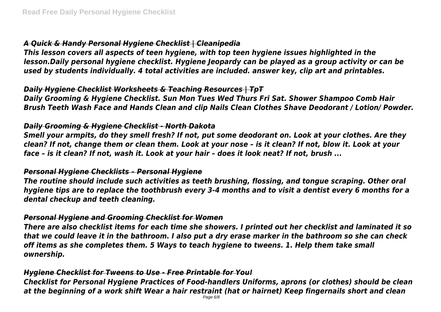# *A Quick & Handy Personal Hygiene Checklist | Cleanipedia*

*This lesson covers all aspects of teen hygiene, with top teen hygiene issues highlighted in the lesson.Daily personal hygiene checklist. Hygiene Jeopardy can be played as a group activity or can be used by students individually. 4 total activities are included. answer key, clip art and printables.*

#### *Daily Hygiene Checklist Worksheets & Teaching Resources | TpT*

*Daily Grooming & Hygiene Checklist. Sun Mon Tues Wed Thurs Fri Sat. Shower Shampoo Comb Hair Brush Teeth Wash Face and Hands Clean and clip Nails Clean Clothes Shave Deodorant / Lotion/ Powder.*

#### *Daily Grooming & Hygiene Checklist - North Dakota*

*Smell your armpits, do they smell fresh? If not, put some deodorant on. Look at your clothes. Are they clean? If not, change them or clean them. Look at your nose – is it clean? If not, blow it. Look at your face – is it clean? If not, wash it. Look at your hair – does it look neat? If not, brush ...*

#### *Personal Hygiene Checklists – Personal Hygiene*

*The routine should include such activities as teeth brushing, flossing, and tongue scraping. Other oral hygiene tips are to replace the toothbrush every 3-4 months and to visit a dentist every 6 months for a dental checkup and teeth cleaning.*

#### *Personal Hygiene and Grooming Checklist for Women*

*There are also checklist items for each time she showers. I printed out her checklist and laminated it so that we could leave it in the bathroom. I also put a dry erase marker in the bathroom so she can check off items as she completes them. 5 Ways to teach hygiene to tweens. 1. Help them take small ownership.*

#### *Hygiene Checklist for Tweens to Use - Free Printable for You!*

*Checklist for Personal Hygiene Practices of Food-handlers Uniforms, aprons (or clothes) should be clean at the beginning of a work shift Wear a hair restraint (hat or hairnet) Keep fingernails short and clean*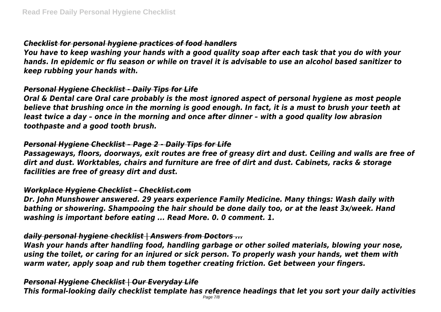# *Checklist for personal hygiene practices of food handlers*

*You have to keep washing your hands with a good quality soap after each task that you do with your hands. In epidemic or flu season or while on travel it is advisable to use an alcohol based sanitizer to keep rubbing your hands with.*

### *Personal Hygiene Checklist - Daily Tips for Life*

*Oral & Dental care Oral care probably is the most ignored aspect of personal hygiene as most people believe that brushing once in the morning is good enough. In fact, it is a must to brush your teeth at least twice a day – once in the morning and once after dinner – with a good quality low abrasion toothpaste and a good tooth brush.*

# *Personal Hygiene Checklist – Page 2 - Daily Tips for Life*

*Passageways, floors, doorways, exit routes are free of greasy dirt and dust. Ceiling and walls are free of dirt and dust. Worktables, chairs and furniture are free of dirt and dust. Cabinets, racks & storage facilities are free of greasy dirt and dust.*

### *Workplace Hygiene Checklist - Checklist.com*

*Dr. John Munshower answered. 29 years experience Family Medicine. Many things: Wash daily with bathing or showering. Shampooing the hair should be done daily too, or at the least 3x/week. Hand washing is important before eating ... Read More. 0. 0 comment. 1.*

### *daily personal hygiene checklist | Answers from Doctors ...*

*Wash your hands after handling food, handling garbage or other soiled materials, blowing your nose, using the toilet, or caring for an injured or sick person. To properly wash your hands, wet them with warm water, apply soap and rub them together creating friction. Get between your fingers.*

### *Personal Hygiene Checklist | Our Everyday Life*

*This formal-looking daily checklist template has reference headings that let you sort your daily activities*